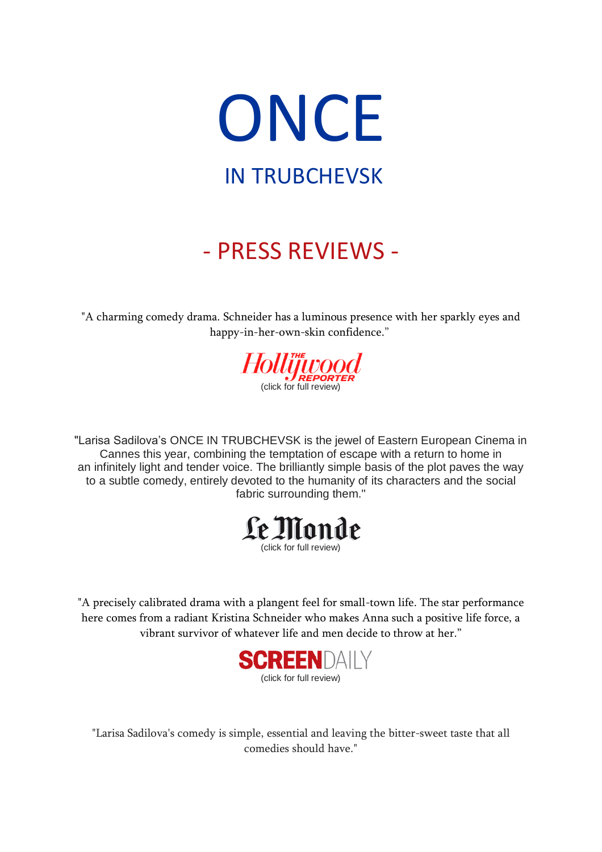

## - PRESS REVIEWS -

"A charming comedy drama. Schneider has a luminous presence with her sparkly eyes and happy-in-her-own-skin confidence."



"Larisa Sadilova's ONCE IN TRUBCHEVSK is the jewel of Eastern European Cinema in Cannes this year, combining the temptation of escape with a return to home in an infinitely light and tender voice. The brilliantly simple basis of the plot paves the way to a subtle comedy, entirely devoted to the humanity of its characters and the social fabric surrounding them."



"A precisely calibrated drama with a plangent feel for small-town life. The star performance here comes from a radiant Kristina Schneider who makes Anna such a positive life force, a vibrant survivor of whatever life and men decide to throw at her."



"Larisa Sadilova's comedy is simple, essential and leaving the bitter-sweet taste that all comedies should have."